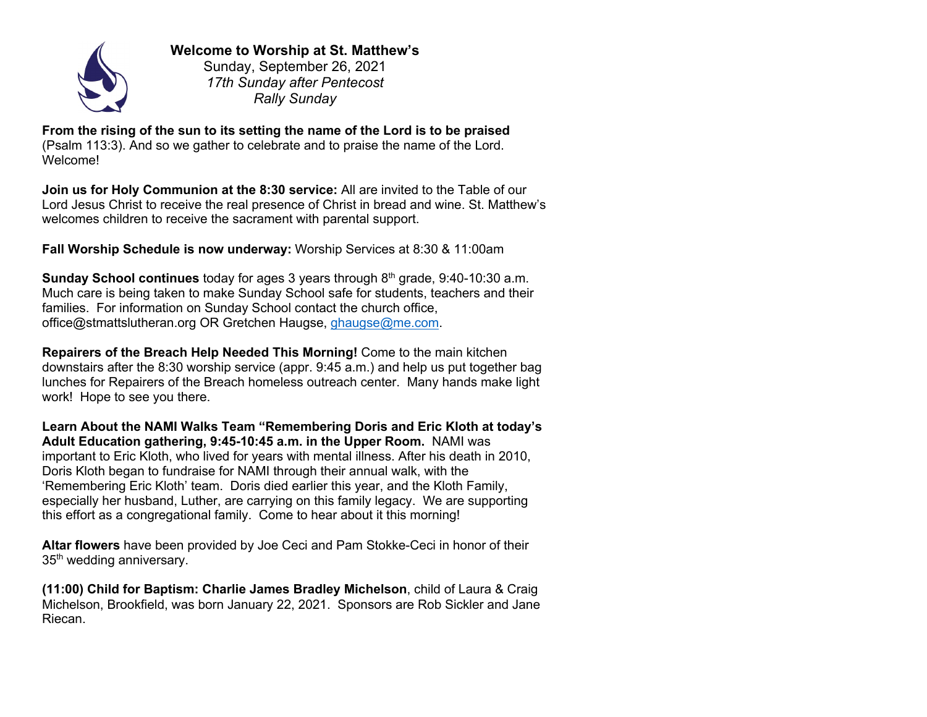

**Welcome to Worship at St. Matthew's** Sunday, September 26, 2021

*17th Sunday after Pentecost Rally Sunday*

**From the rising of the sun to its setting the name of the Lord is to be praised**  (Psalm 113:3). And so we gather to celebrate and to praise the name of the Lord. Welcome!

**Join us for Holy Communion at the 8:30 service:** All are invited to the Table of our Lord Jesus Christ to receive the real presence of Christ in bread and wine. St. Matthew's welcomes children to receive the sacrament with parental support.

**Fall Worship Schedule is now underway:** Worship Services at 8:30 & 11:00am

**Sunday School continues** today for ages 3 years through 8<sup>th</sup> grade, 9:40-10:30 a.m. Much care is being taken to make Sunday School safe for students, teachers and their families. For information on Sunday School contact the church office, office@stmattslutheran.org OR Gretchen Haugse, ghaugse@me.com.

**Repairers of the Breach Help Needed This Morning!** Come to the main kitchen downstairs after the 8:30 worship service (appr. 9:45 a.m.) and help us put together bag lunches for Repairers of the Breach homeless outreach center. Many hands make light work! Hope to see you there.

**Learn About the NAMI Walks Team "Remembering Doris and Eric Kloth at today's Adult Education gathering, 9:45-10:45 a.m. in the Upper Room.** NAMI was important to Eric Kloth, who lived for years with mental illness. After his death in 2010, Doris Kloth began to fundraise for NAMI through their annual walk, with the 'Remembering Eric Kloth' team. Doris died earlier this year, and the Kloth Family, especially her husband, Luther, are carrying on this family legacy. We are supporting this effort as a congregational family. Come to hear about it this morning!

**Altar flowers** have been provided by Joe Ceci and Pam Stokke-Ceci in honor of their 35<sup>th</sup> wedding anniversary.

**(11:00) Child for Baptism: Charlie James Bradley Michelson**, child of Laura & Craig Michelson, Brookfield, was born January 22, 2021. Sponsors are Rob Sickler and Jane Riecan.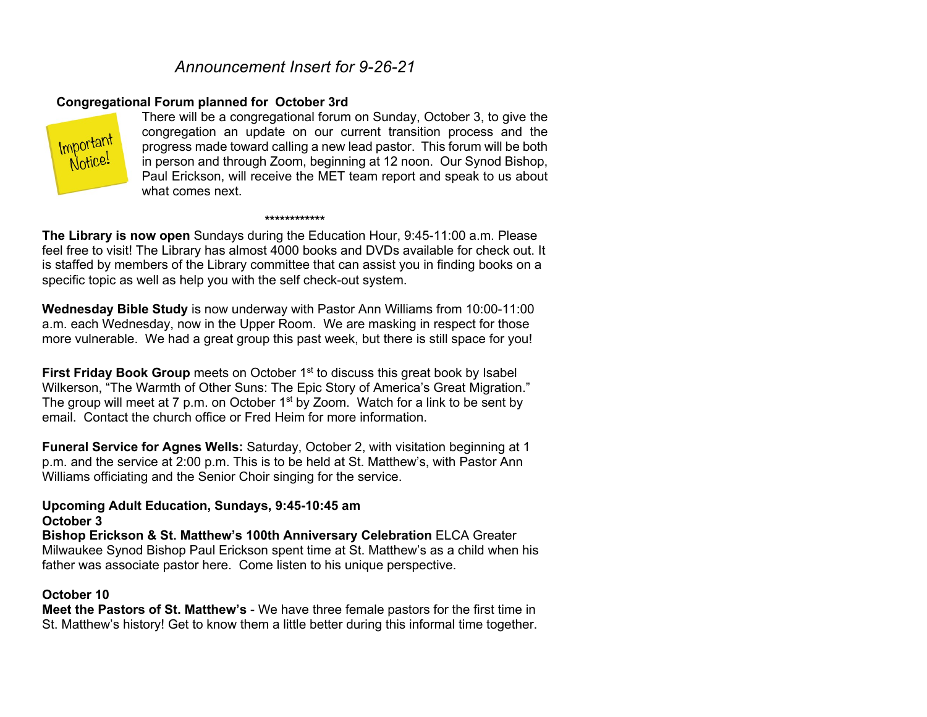# *Announcement Insert for 9-26-21*

#### **Congregational Forum planned for October 3rd**



There will be a congregational forum on Sunday, October 3, to give the congregation an update on our current transition process and the progress made toward calling a new lead pastor. This forum will be both in person and through Zoom, beginning at 12 noon. Our Synod Bishop, Paul Erickson, will receive the MET team report and speak to us about what comes next.

#### **\*\*\*\*\*\*\*\*\*\*\*\***

**The Library is now open** Sundays during the Education Hour, 9:45-11:00 a.m. Please feel free to visit! The Library has almost 4000 books and DVDs available for check out. It is staffed by members of the Library committee that can assist you in finding books on a specific topic as well as help you with the self check-out system.

**Wednesday Bible Study** is now underway with Pastor Ann Williams from 10:00-11:00 a.m. each Wednesday, now in the Upper Room. We are masking in respect for those more vulnerable. We had a great group this past week, but there is still space for you!

**First Friday Book Group** meets on October 1<sup>st</sup> to discuss this great book by Isabel Wilkerson, "The Warmth of Other Suns: The Epic Story of America's Great Migration." The group will meet at 7 p.m. on October  $1<sup>st</sup>$  by Zoom. Watch for a link to be sent by email. Contact the church office or Fred Heim for more information.

**Funeral Service for Agnes Wells:** Saturday, October 2, with visitation beginning at 1 p.m. and the service at 2:00 p.m. This is to be held at St. Matthew's, with Pastor Ann Williams officiating and the Senior Choir singing for the service.

#### **Upcoming Adult Education, Sundays, 9:45-10:45 am October 3**

**Bishop Erickson & St. Matthew's 100th Anniversary Celebration** ELCA Greater Milwaukee Synod Bishop Paul Erickson spent time at St. Matthew's as a child when his father was associate pastor here. Come listen to his unique perspective.

#### **October 10**

**Meet the Pastors of St. Matthew's** - We have three female pastors for the first time in St. Matthew's history! Get to know them a little better during this informal time together.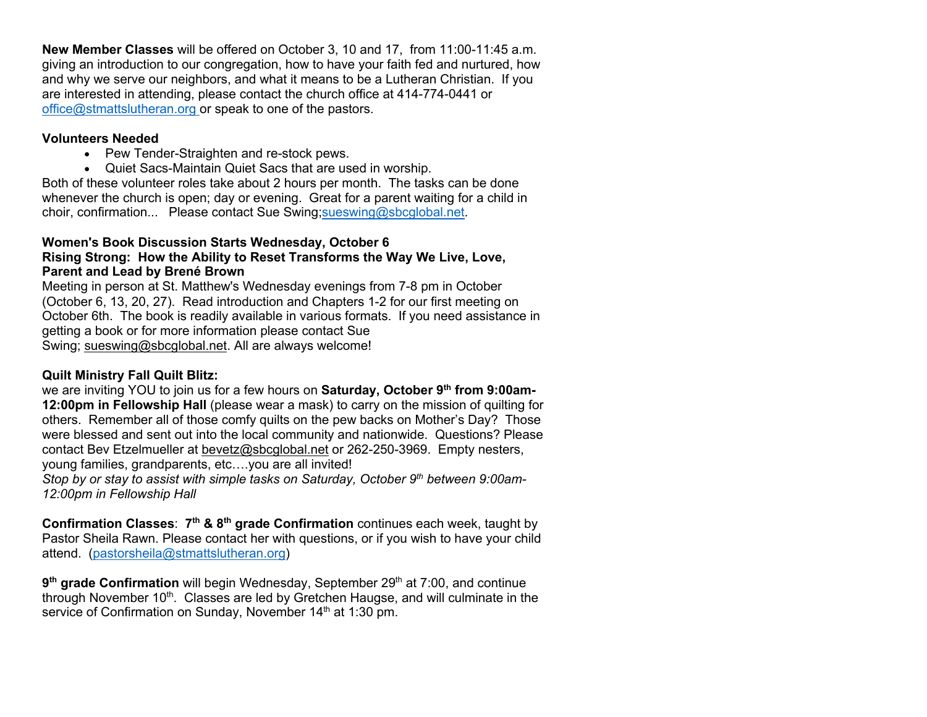**New Member Classes** will be offered on October 3, 10 and 17, from 11:00-11:45 a.m. giving an introduction to our congregation, how to have your faith fed and nurtured, how and why we serve our neighbors, and what it means to be a Lutheran Christian. If you are interested in attending, please contact the church office at 414-774-0441 or office@stmattslutheran.org or speak to one of the pastors.

## **Volunteers Needed**

- Pew Tender-Straighten and re-stock pews.
- Quiet Sacs-Maintain Quiet Sacs that are used in worship.

Both of these volunteer roles take about 2 hours per month. The tasks can be done whenever the church is open; day or evening. Great for a parent waiting for a child in choir, confirmation... Please contact Sue Swing;sueswing@sbcglobal.net.

#### **Women's Book Discussion Starts Wednesday, October 6 Rising Strong: How the Ability to Reset Transforms the Way We Live, Love, Parent and Lead by Brené Brown**

Meeting in person at St. Matthew's Wednesday evenings from 7-8 pm in October (October 6, 13, 20, 27). Read introduction and Chapters 1-2 for our first meeting on October 6th. The book is readily available in various formats. If you need assistance in getting a book or for more information please contact Sue Swing; sueswing@sbcglobal.net. All are always welcome!

# **Quilt Ministry Fall Quilt Blitz:**

we are inviting YOU to join us for a few hours on **Saturday, October 9th from 9:00am-12:00pm in Fellowship Hall** (please wear a mask) to carry on the mission of quilting for others. Remember all of those comfy quilts on the pew backs on Mother's Day? Those were blessed and sent out into the local community and nationwide. Questions? Please contact Bev Etzelmueller at bevetz@sbcglobal.net or 262-250-3969. Empty nesters, young families, grandparents, etc….you are all invited!

*Stop by or stay to assist with simple tasks on Saturday, October 9th between 9:00am-12:00pm in Fellowship Hall*

**Confirmation Classes**: **7th & 8th grade Confirmation** continues each week, taught by Pastor Sheila Rawn. Please contact her with questions, or if you wish to have your child attend. (pastorsheila@stmattslutheran.org)

**9<sup>th</sup> grade Confirmation** will begin Wednesday, September 29<sup>th</sup> at 7:00, and continue through November  $10<sup>th</sup>$ . Classes are led by Gretchen Haugse, and will culminate in the service of Confirmation on Sunday, November 14<sup>th</sup> at 1:30 pm.